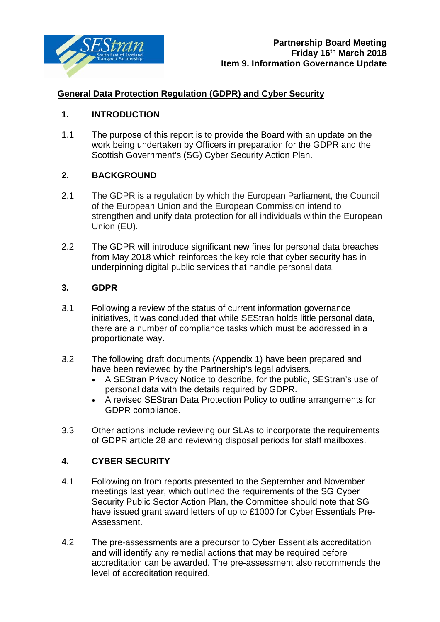

# **General Data Protection Regulation (GDPR) and Cyber Security**

# **1. INTRODUCTION**

1.1 The purpose of this report is to provide the Board with an update on the work being undertaken by Officers in preparation for the GDPR and the Scottish Government's (SG) Cyber Security Action Plan.

# **2. BACKGROUND**

- 2.1 The GDPR is a regulation by which the European Parliament, the Council of the European Union and the European Commission intend to strengthen and unify data protection for all individuals within the European Union (EU).
- 2.2 The GDPR will introduce significant new fines for personal data breaches from May 2018 which reinforces the key role that cyber security has in underpinning digital public services that handle personal data.

# **3. GDPR**

- 3.1 Following a review of the status of current information governance initiatives, it was concluded that while SEStran holds little personal data, there are a number of compliance tasks which must be addressed in a proportionate way.
- 3.2 The following draft documents (Appendix 1) have been prepared and have been reviewed by the Partnership's legal advisers.
	- A SEStran Privacy Notice to describe, for the public, SEStran's use of personal data with the details required by GDPR.
	- A revised SEStran Data Protection Policy to outline arrangements for GDPR compliance.
- 3.3 Other actions include reviewing our SLAs to incorporate the requirements of GDPR article 28 and reviewing disposal periods for staff mailboxes.

# **4. CYBER SECURITY**

- 4.1 Following on from reports presented to the September and November meetings last year, which outlined the requirements of the SG Cyber Security Public Sector Action Plan, the Committee should note that SG have issued grant award letters of up to £1000 for Cyber Essentials Pre-Assessment.
- 4.2 The pre-assessments are a precursor to Cyber Essentials accreditation and will identify any remedial actions that may be required before accreditation can be awarded. The pre-assessment also recommends the level of accreditation required.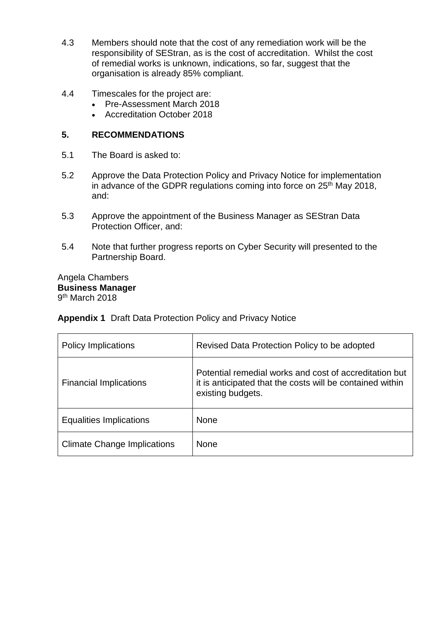- 4.3 Members should note that the cost of any remediation work will be the responsibility of SEStran, as is the cost of accreditation. Whilst the cost of remedial works is unknown, indications, so far, suggest that the organisation is already 85% compliant.
- 4.4 Timescales for the project are:
	- Pre-Assessment March 2018
	- Accreditation October 2018

## **5. RECOMMENDATIONS**

- 5.1 The Board is asked to:
- 5.2 Approve the Data Protection Policy and Privacy Notice for implementation in advance of the GDPR regulations coming into force on 25<sup>th</sup> May 2018, and:
- 5.3 Approve the appointment of the Business Manager as SEStran Data Protection Officer, and:
- 5.4 Note that further progress reports on Cyber Security will presented to the Partnership Board.

Angela Chambers **Business Manager** 9th March 2018

# **Appendix 1** Draft Data Protection Policy and Privacy Notice

| <b>Policy Implications</b>         | Revised Data Protection Policy to be adopted                                                                                             |
|------------------------------------|------------------------------------------------------------------------------------------------------------------------------------------|
| <b>Financial Implications</b>      | Potential remedial works and cost of accreditation but<br>it is anticipated that the costs will be contained within<br>existing budgets. |
| <b>Equalities Implications</b>     | <b>None</b>                                                                                                                              |
| <b>Climate Change Implications</b> | <b>None</b>                                                                                                                              |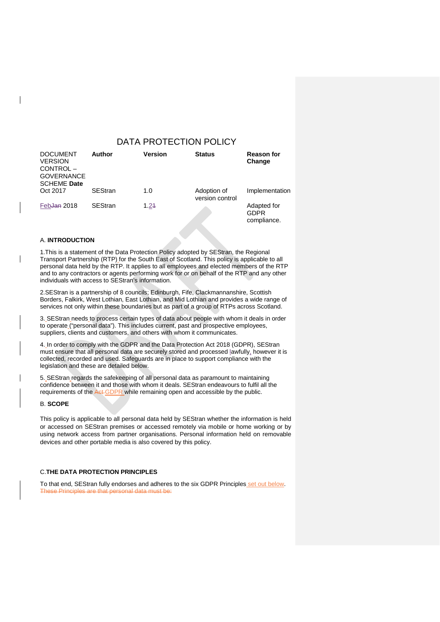## DATA PROTECTION POLICY

| <b>DOCUMENT</b><br><b>VERSION</b><br>CONTROL-<br><b>GOVERNANCE</b><br><b>SCHEME Date</b> | Author         | <b>Version</b> | <b>Status</b>                  | <b>Reason for</b><br>Change               |
|------------------------------------------------------------------------------------------|----------------|----------------|--------------------------------|-------------------------------------------|
| Oct 2017                                                                                 | <b>SEStran</b> | 1.0            | Adoption of<br>version control | Implementation                            |
| Feb <del>Jan</del> 2018                                                                  | <b>SEStran</b> | 1.24           |                                | Adapted for<br><b>GDPR</b><br>compliance. |

### A. **INTRODUCTION**

1.This is a statement of the Data Protection Policy adopted by SEStran, the Regional Transport Partnership (RTP) for the South East of Scotland. This policy is applicable to all personal data held by the RTP. It applies to all employees and elected members of the RTP and to any contractors or agents performing work for or on behalf of the RTP and any other individuals with access to SEStran's information.

2.SEStran is a partnership of 8 councils; Edinburgh, Fife, Clackmannanshire, Scottish Borders, Falkirk, West Lothian, East Lothian, and Mid Lothian and provides a wide range of services not only within these boundaries but as part of a group of RTPs across Scotland.

3. SEStran needs to process certain types of data about people with whom it deals in order to operate ("personal data"). This includes current, past and prospective employees, suppliers, clients and customers, and others with whom it communicates.

4. In order to comply with the GDPR and the Data Protection Act 2018 (GDPR), SEStran must ensure that all personal data are securely stored and processed lawfully, however it is collected, recorded and used. Safeguards are in place to support compliance with the legislation and these are detailed below.

5. SEStran regards the safekeeping of all personal data as paramount to maintaining confidence between it and those with whom it deals. SEStran endeavours to fulfil all the requirements of the Act GDPR while remaining open and accessible by the public.

### B. **SCOPE**

This policy is applicable to all personal data held by SEStran whether the information is held or accessed on SEStran premises or accessed remotely via mobile or home working or by using network access from partner organisations. Personal information held on removable devices and other portable media is also covered by this policy.

### C.**THE DATA PROTECTION PRINCIPLES**

To that end, SEStran fully endorses and adheres to the six GDPR Principles set out below. These Principles are that personal data must be: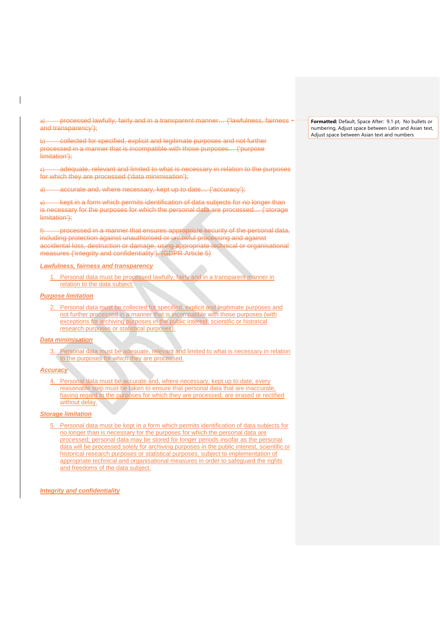a) processed lawfully, fairly and in a transparent manner… ('lawfulness, fairness and transparency');

b) collected for specified, explicit and legitimate purposes and not further processed in a manner that is incompatible with those purposes… ('purpose limitation');

adequate, relevant and limited to what is necessary in relation to the purposes for which they are processed ('data minimisation');

accurate and, where necessary, kept up to date... ('accuracy');

kept in a form which permits identification of data subjects for no longer than is necessary for the purposes for which the personal data are processed… ('storage limitation');

f) processed in a manner that ensures appropriate security of the personal data, including protection against unauthorised or unlawful processing and against accidental loss, destruction or damage, using appropriate technical or organisational measures ('integrity and confidentiality'). (GDPR Article 5)

#### *Lawfulness, fairness and transparency*

1. Personal data must be processed lawfully, fairly and in a transparent manner in relation to the data subject.

#### *Purpose limitation*

2. Personal data must be collected for specified, explicit and legitimate purposes and not further processed in a manner that is incompatible with those purposes (with exceptions for archiving purposes in the public interest, scientific or historical research purposes or statistical purposes).

#### *Data minimisation*

Personal data must be adequate, relevant and limited to what is necessary in relation to the purposes for which they are processed.

#### *Accuracy*

4. Personal data must be accurate and, where necessary, kept up to date; every reasonable step must be taken to ensure that personal data that are inaccurate, having regard to the purposes for which they are processed, are erased or rectified without delay.

#### *Storage limitation*

5. Personal data must be kept in a form which permits identification of data subjects for no longer than is necessary for the purposes for which the personal data are processed; personal data may be stored for longer periods insofar as the personal data will be processed solely for archiving purposes in the public interest, scientific or historical research purposes or statistical purposes, subject to implementation of appropriate technical and organisational measures in order to safeguard the rights and freedoms of the data subject.

#### *Integrity and confidentiality*

**Formatted:** Default, Space After: 9.1 pt, No bullets or numbering, Adjust space between Latin and Asian text, Adjust space between Asian text and numbers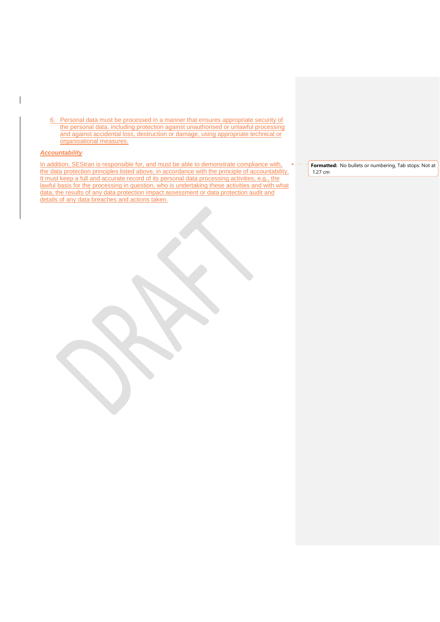6. Personal data must be processed in a manner that ensures appropriate security of the personal data, including protection against unauthorised or unlawful processing and against accidental loss, destruction or damage, using appropriate technical or organisational measures.

### *Accountability*

In addition, SEStran is responsible for, and must be able to demonstrate compliance with, the data protection principles listed above, in accordance with the principle of accountability. It must keep a full and accurate record of its personal data processing activities, e.g., the lawful basis for the processing in question, who is undertaking these activities and with what data, the results of any data protection impact assessment or data protection audit and details of any data breaches and actions taken.

**Formatted:** No bullets or numbering, Tab stops: Not at 1.27 cm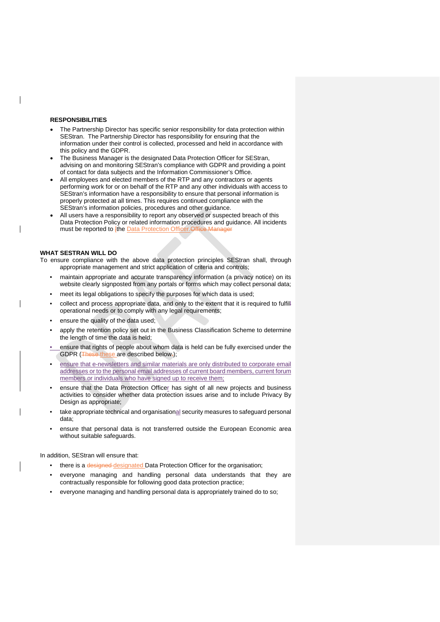#### **RESPONSIBILITIES**

- The Partnership Director has specific senior responsibility for data protection within SEStran. The Partnership Director has responsibility for ensuring that the information under their control is collected, processed and held in accordance with this policy and the GDPR.
- The Business Manager is the designated Data Protection Officer for SEStran, advising on and monitoring SEStran's compliance with GDPR and providing a point of contact for data subjects and the Information Commissioner's Office.
- All employees and elected members of the RTP and any contractors or agents performing work for or on behalf of the RTP and any other individuals with access to SEStran's information have a responsibility to ensure that personal information is properly protected at all times. This requires continued compliance with the SEStran's information policies, procedures and other guidance.
- All users have a responsibility to report any observed or suspected breach of this Data Protection Policy or related information procedures and guidance. All incidents must be reported to [the Data Protection Officer. Office Manager

#### **WHAT SESTRAN WILL DO**

 $\overline{\phantom{a}}$ 

To ensure compliance with the above data protection principles SEStran shall, through appropriate management and strict application of criteria and controls;

- maintain appropriate and accurate transparency information (a privacy notice) on its website clearly signposted from any portals or forms which may collect personal data;
- meet its legal obligations to specify the purposes for which data is used;
- collect and process appropriate data, and only to the extent that it is required to fulfill operational needs or to comply with any legal requirements;
- ensure the quality of the data used;
- apply the retention policy set out in the Business Classification Scheme to determine the length of time the data is held;
- ensure that rights of people about whom data is held can be fully exercised under the GDPR (These these are described below-);
- ensure that e-newsletters and similar materials are only distributed to corporate email addresses or to the personal email addresses of current board members, current forum members or individuals who have signed up to receive them;
- ensure that the Data Protection Officer has sight of all new projects and business activities to consider whether data protection issues arise and to include Privacy By Design as appropriate;
- take appropriate technical and organisational security measures to safeguard personal data;
- ensure that personal data is not transferred outside the European Economic area without suitable safeguards.

In addition, SEStran will ensure that:

- there is a designed-designated Data Protection Officer for the organisation;
- everyone managing and handling personal data understands that they are contractually responsible for following good data protection practice;
- everyone managing and handling personal data is appropriately trained do to so;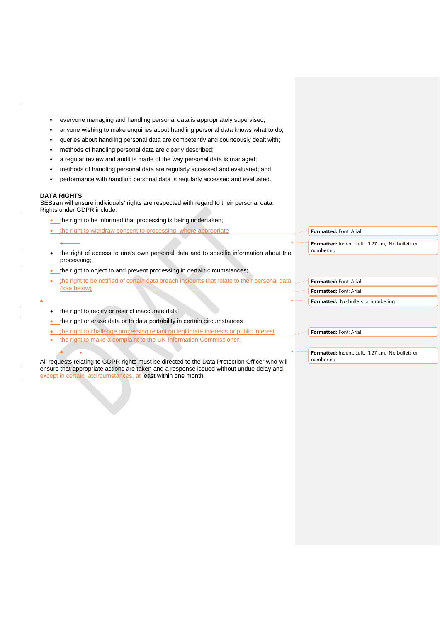- everyone managing and handling personal data is appropriately supervised;
- anyone wishing to make enquiries about handling personal data knows what to do;
- queries about handling personal data are competently and courteously dealt with;
- methods of handling personal data are clearly described;
- a regular review and audit is made of the way personal data is managed;
- methods of handling personal data are regularly accessed and evaluated; and
- performance with handling personal data is regularly accessed and evaluated.

#### **DATA RIGHTS**

SEStran will ensure individuals' rights are respected with regard to their personal data. Rights under GDPR include:

- the right to be informed that processing is being undertaken;
- the right to withdraw consent to processing, where appropriate •
- the right of access to one's own personal data and to specific information about the processing;
- the right to object to and prevent processing in certain circumstances;
- the right to be notified of certain data breach incidents that relate to their personal data (see below)
- •

• .

- the right to rectify or restrict inaccurate data
- the right or erase data or to data portability in certain circumstances
- the right to challenge processing reliant on legitimate interests or public interest
- the right to make a complaint to the UK Information

All requests relating to GDPR rights must be directed to the Data Protection Officer who will ensure that appropriate actions are taken and a response issued without undue delay and, except in certain atcircumstances, at least within one month.

**Formatted:** Font: Arial

**Formatted:** Indent: Left: 1.27 cm, No bullets or numbering

| Formatted: Font: Arial             |  |  |
|------------------------------------|--|--|
| Formatted: Font: Arial             |  |  |
| Formatted: No bullets or numbering |  |  |

**Formatted:** Font: Arial

**Formatted:** Indent: Left: 1.27 cm, No bullets or numbering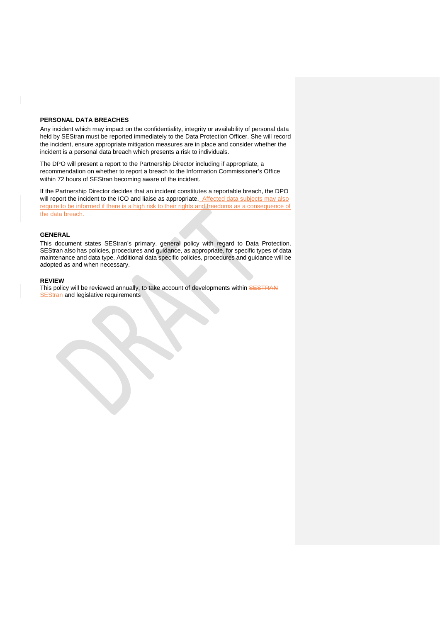#### **PERSONAL DATA BREACHES**

Any incident which may impact on the confidentiality, integrity or availability of personal data held by SEStran must be reported immediately to the Data Protection Officer. She will record the incident, ensure appropriate mitigation measures are in place and consider whether the incident is a personal data breach which presents a risk to individuals.

The DPO will present a report to the Partnership Director including if appropriate, a recommendation on whether to report a breach to the Information Commissioner's Office within 72 hours of SEStran becoming aware of the incident.

If the Partnership Director decides that an incident constitutes a reportable breach, the DPO will report the incident to the ICO and liaise as appropriate. Affected data subjects may also require to be informed if there is a high risk to their rights and freedoms as a consequence of the data breach.

#### **GENERAL**

This document states SEStran's primary, general policy with regard to Data Protection. SEStran also has policies, procedures and guidance, as appropriate, for specific types of data maintenance and data type. Additional data specific policies, procedures and guidance will be adopted as and when necessary.

#### **REVIEW**

This policy will be reviewed annually, to take account of developments within SESTRAN SEStran and legislative requirements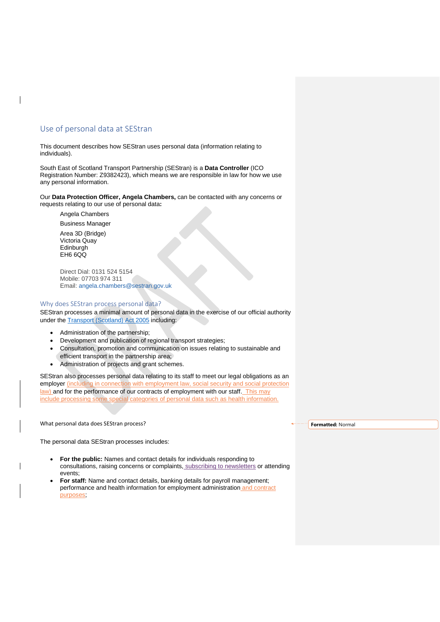## Use of personal data at SEStran

This document describes how SEStran uses personal data (information relating to individuals).

South East of Scotland Transport Partnership (SEStran) is a **Data Controller** (ICO Registration Number: Z9382423), which means we are responsible in law for how we use any personal information.

Our **Data Protection Officer, Angela Chambers,** can be contacted with any concerns or requests relating to our use of personal data**:**

Angela Chambers

Business Manager Area 3D (Bridge) Victoria Quay Edinburgh EH6 6QQ

Direct Dial: 0131 524 5154 Mobile: 07703 974 311 Email: [angela.chambers@sestran.gov.uk](mailto:angela.chambers@sestran.gov.uk) 

### Why does SEStran process personal data?

SEStran processes a minimal amount of personal data in the exercise of our official authority under the [Transport \(Scotland\) Act 2005](http://www.legislation.gov.uk/asp/2005/12/contents) including:

- Administration of the partnership;
- Development and publication of regional transport strategies;
- Consultation, promotion and communication on issues relating to sustainable and efficient transport in the partnership area;
- Administration of projects and grant schemes.

SEStran also processes personal data relating to its staff to meet our legal obligations as an employer (including in connection with employment law, social security and social protection law) and for the performance of our contracts of employment with our staff. This may include processing some special categories of personal data such as health information.

What personal data does SEStran process?

The personal data SEStran processes includes:

- **For the public:** Names and contact details for individuals responding to consultations, raising concerns or complaints, subscribing to newsletters or attending events;
- **For staff:** Name and contact details, banking details for payroll management; performance and health information for employment administration and contract purposes;

**Formatted:** Normal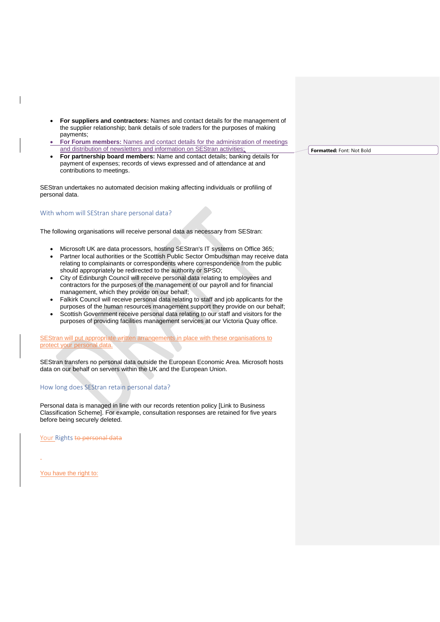- **For suppliers and contractors:** Names and contact details for the management of the supplier relationship; bank details of sole traders for the purposes of making payments;
- **For Forum members:** Names and contact details for the administration of meetings and distribution of newsletters and information on SEStran activities;
- **For partnership board members:** Name and contact details; banking details for payment of expenses; records of views expressed and of attendance at and contributions to meetings.

SEStran undertakes no automated decision making affecting individuals or profiling of personal data.

### With whom will SEStran share personal data?

The following organisations will receive personal data as necessary from SEStran:

- Microsoft UK are data processors, hosting SEStran's IT systems on Office 365;
- Partner local authorities or the Scottish Public Sector Ombudsman may receive data relating to complainants or correspondents where correspondence from the public should appropriately be redirected to the authority or SPSO;
- City of Edinburgh Council will receive personal data relating to employees and contractors for the purposes of the management of our payroll and for financial management, which they provide on our behalf;
- Falkirk Council will receive personal data relating to staff and job applicants for the purposes of the human resources management support they provide on our behalf;
- Scottish Government receive personal data relating to our staff and visitors for the purposes of providing facilities management services at our Victoria Quay office.

SEStran will put appropriate written arrangements in place with these organisations to protect your personal data.

SEStran transfers no personal data outside the European Economic Area. Microsoft hosts data on our behalf on servers within the UK and the European Union.

### How long does SEStran retain personal data?

Personal data is managed in line with our records retention policy [Link to Business Classification Scheme]. For example, consultation responses are retained for five years before being securely deleted.

Your Rights to personal data

You have the right to:

**Formatted:** Font: Not Bold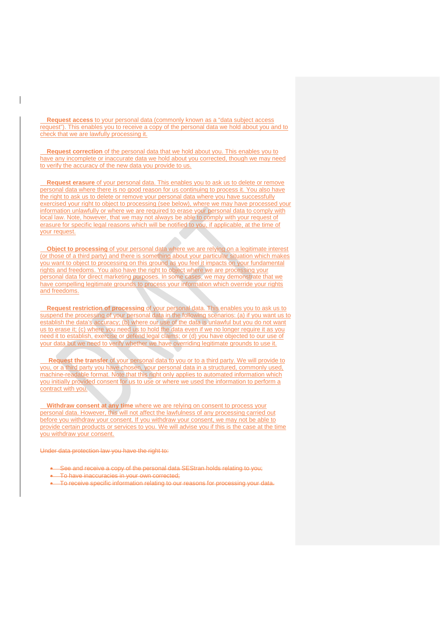**Request access** to your personal data (commonly known as a "data subject access request"). This enables you to receive a copy of the personal data we hold about you and to check that we are lawfully processing it.

 **Request correction** of the personal data that we hold about you. This enables you to have any incomplete or inaccurate data we hold about you corrected, though we may need to verify the accuracy of the new data you provide to us.

 **Request erasure** of your personal data. This enables you to ask us to delete or remove personal data where there is no good reason for us continuing to process it. You also have the right to ask us to delete or remove your personal data where you have successfully exercised your right to object to processing (see below), where we may have processed your information unlawfully or where we are required to erase your personal data to comply with local law. Note, however, that we may not always be able to comply with your request of erasure for specific legal reasons which will be notified to you, if applicable, at the time of your request.

 **Object to processing** of your personal data where we are relying on a legitimate interest (or those of a third party) and there is something about your particular situation which makes you want to object to processing on this ground as you feel it impacts on your fundamental rights and freedoms. You also have the right to object where we are processing your personal data for direct marketing purposes. In some cases, we may demonstrate that we have compelling legitimate grounds to process your information which override your rights and freedoms.

**Request restriction of processing** of your personal data. This enables you to ask us to suspend the processing of your personal data in the following scenarios: (a) if you want us to establish the data's accuracy; (b) where our use of the data is unlawful but you do not want us to erase it; (c) where you need us to hold the data even if we no longer require it as you need it to establish, exercise or defend legal claims; or (d) you have objected to our use of your data but we need to verify whether we have overriding legitimate grounds to use it.

 **Request the transfer** of your personal data to you or to a third party. We will provide to you, or a third party you have chosen, your personal data in a structured, commonly used, machine-readable format. Note that this right only applies to automated information which you initially provided consent for us to use or where we used the information to perform a contract with you.

 **Withdraw consent at any time** where we are relying on consent to process your personal data. However, this will not affect the lawfulness of any processing carried out before you withdraw your consent. If you withdraw your consent, we may not be able to provide certain products or services to you. We will advise you if this is the case at the time you withdraw your consent.

Under data protection law you have the right to:

- See and receive a copy of the personal data SEStran holds relating to you;
- To have inaccuracies in your own corrected;
- To receive specific information relating to our reasons for processing your data.